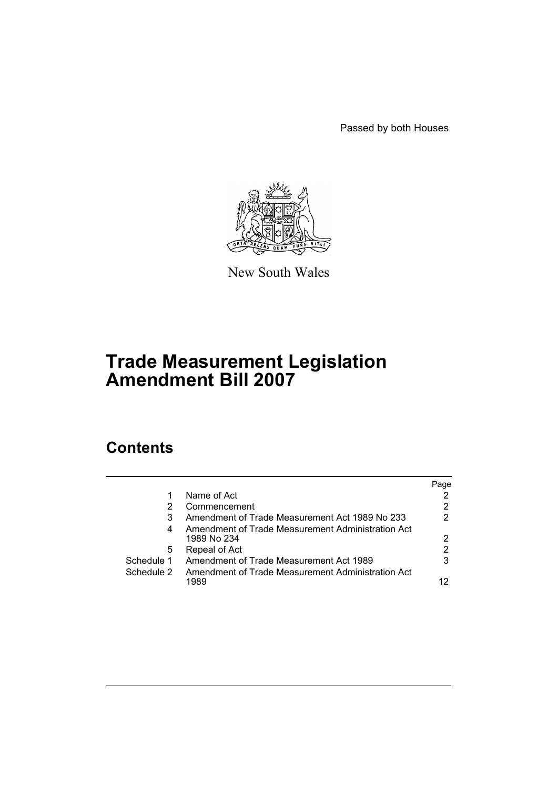Passed by both Houses



New South Wales

# **Trade Measurement Legislation Amendment Bill 2007**

# **Contents**

|            |                                                                  | Page |
|------------|------------------------------------------------------------------|------|
| 1          | Name of Act                                                      |      |
|            | Commencement                                                     | 2    |
| 3          | Amendment of Trade Measurement Act 1989 No 233                   | 2    |
| 4          | Amendment of Trade Measurement Administration Act<br>1989 No 234 | 2    |
| 5          | Repeal of Act                                                    | 2    |
| Schedule 1 | Amendment of Trade Measurement Act 1989                          | 3    |
| Schedule 2 | Amendment of Trade Measurement Administration Act<br>1989        |      |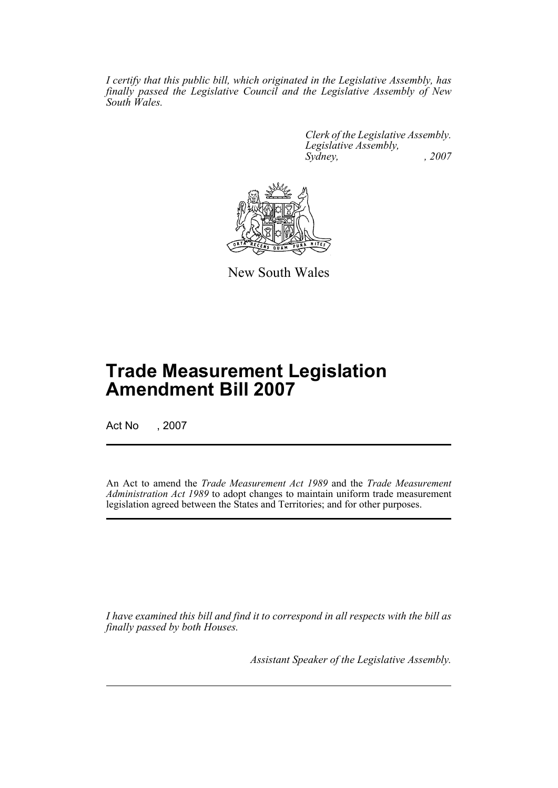*I certify that this public bill, which originated in the Legislative Assembly, has finally passed the Legislative Council and the Legislative Assembly of New South Wales.*

> *Clerk of the Legislative Assembly. Legislative Assembly, Sydney, , 2007*



New South Wales

# **Trade Measurement Legislation Amendment Bill 2007**

Act No , 2007

An Act to amend the *Trade Measurement Act 1989* and the *Trade Measurement Administration Act 1989* to adopt changes to maintain uniform trade measurement legislation agreed between the States and Territories; and for other purposes.

*I have examined this bill and find it to correspond in all respects with the bill as finally passed by both Houses.*

*Assistant Speaker of the Legislative Assembly.*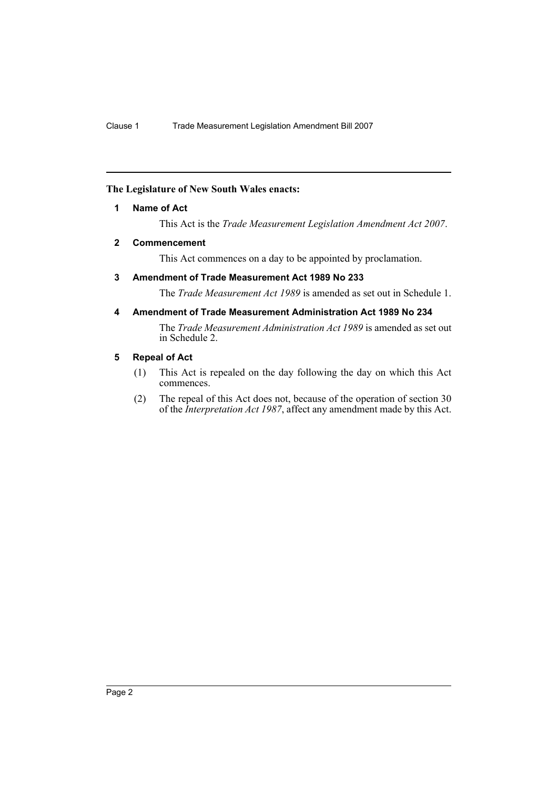# <span id="page-2-0"></span>**The Legislature of New South Wales enacts:**

# **1 Name of Act**

This Act is the *Trade Measurement Legislation Amendment Act 2007*.

# <span id="page-2-1"></span>**2 Commencement**

This Act commences on a day to be appointed by proclamation.

# <span id="page-2-2"></span>**3 Amendment of Trade Measurement Act 1989 No 233**

The *Trade Measurement Act 1989* is amended as set out in Schedule 1.

# <span id="page-2-3"></span>**4 Amendment of Trade Measurement Administration Act 1989 No 234**

The *Trade Measurement Administration Act 1989* is amended as set out in Schedule 2.

# <span id="page-2-4"></span>**5 Repeal of Act**

- (1) This Act is repealed on the day following the day on which this Act commences.
- (2) The repeal of this Act does not, because of the operation of section 30 of the *Interpretation Act 1987*, affect any amendment made by this Act.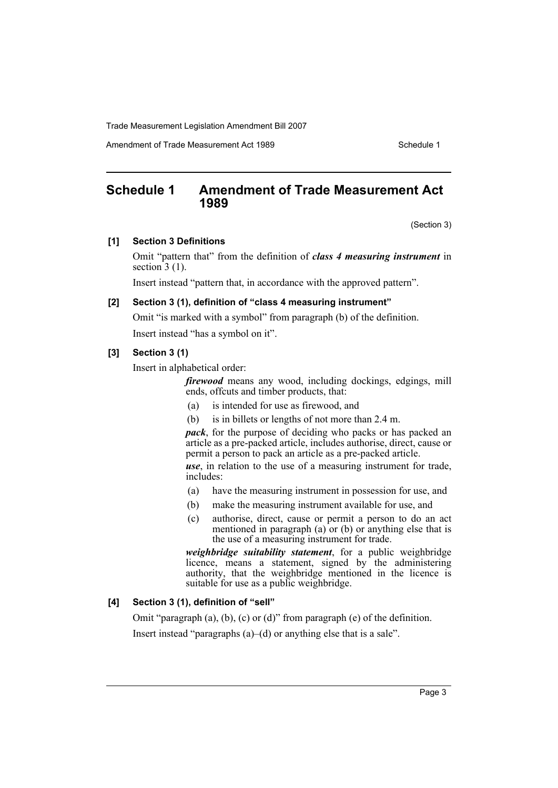Amendment of Trade Measurement Act 1989 Schedule 1

# <span id="page-3-0"></span>**Schedule 1 Amendment of Trade Measurement Act 1989**

(Section 3)

#### **[1] Section 3 Definitions**

Omit "pattern that" from the definition of *class 4 measuring instrument* in section  $3(1)$ .

Insert instead "pattern that, in accordance with the approved pattern".

# **[2] Section 3 (1), definition of "class 4 measuring instrument"**

Omit "is marked with a symbol" from paragraph (b) of the definition.

Insert instead "has a symbol on it".

# **[3] Section 3 (1)**

Insert in alphabetical order:

*firewood* means any wood, including dockings, edgings, mill ends, offcuts and timber products, that:

- (a) is intended for use as firewood, and
- (b) is in billets or lengths of not more than 2.4 m.

*pack*, for the purpose of deciding who packs or has packed an article as a pre-packed article, includes authorise, direct, cause or permit a person to pack an article as a pre-packed article.

*use*, in relation to the use of a measuring instrument for trade, includes:

- (a) have the measuring instrument in possession for use, and
- (b) make the measuring instrument available for use, and
- (c) authorise, direct, cause or permit a person to do an act mentioned in paragraph (a) or  $(b)$  or anything else that is the use of a measuring instrument for trade.

*weighbridge suitability statement*, for a public weighbridge licence, means a statement, signed by the administering authority, that the weighbridge mentioned in the licence is suitable for use as a public weighbridge.

# **[4] Section 3 (1), definition of "sell"**

Omit "paragraph (a), (b), (c) or (d)" from paragraph (e) of the definition.

Insert instead "paragraphs (a)–(d) or anything else that is a sale".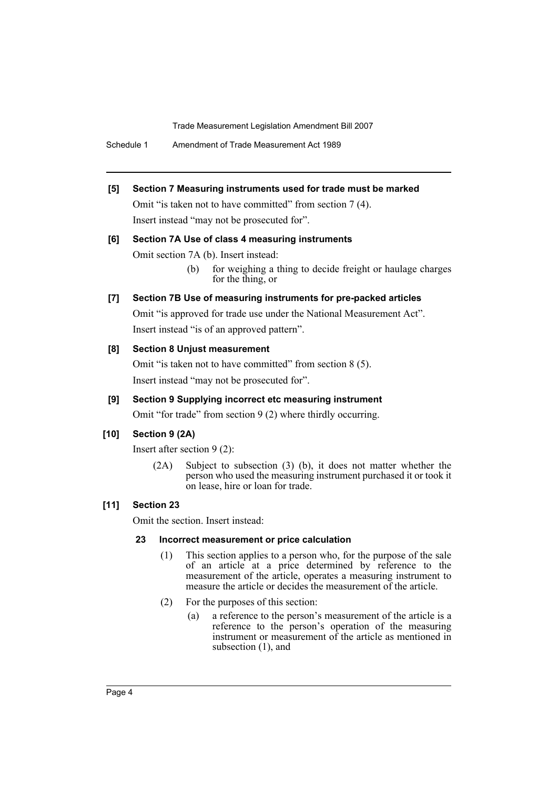Schedule 1 Amendment of Trade Measurement Act 1989

# **[5] Section 7 Measuring instruments used for trade must be marked**

Omit "is taken not to have committed" from section 7 (4). Insert instead "may not be prosecuted for".

# **[6] Section 7A Use of class 4 measuring instruments**

Omit section 7A (b). Insert instead:

(b) for weighing a thing to decide freight or haulage charges for the thing, or

# **[7] Section 7B Use of measuring instruments for pre-packed articles** Omit "is approved for trade use under the National Measurement Act". Insert instead "is of an approved pattern".

# **[8] Section 8 Unjust measurement**

Omit "is taken not to have committed" from section 8 (5). Insert instead "may not be prosecuted for".

# **[9] Section 9 Supplying incorrect etc measuring instrument**

Omit "for trade" from section 9 (2) where thirdly occurring.

# **[10] Section 9 (2A)**

Insert after section 9 (2):

(2A) Subject to subsection (3) (b), it does not matter whether the person who used the measuring instrument purchased it or took it on lease, hire or loan for trade.

# **[11] Section 23**

Omit the section. Insert instead:

# **23 Incorrect measurement or price calculation**

- (1) This section applies to a person who, for the purpose of the sale of an article at a price determined by reference to the measurement of the article, operates a measuring instrument to measure the article or decides the measurement of the article.
- (2) For the purposes of this section:
	- (a) a reference to the person's measurement of the article is a reference to the person's operation of the measuring instrument or measurement of the article as mentioned in subsection (1), and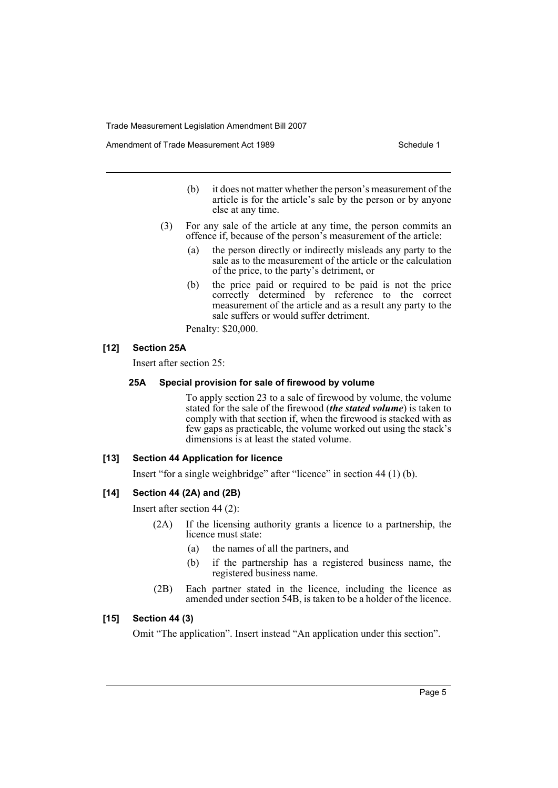Amendment of Trade Measurement Act 1989 **Schedule 1** Schedule 1

- (b) it does not matter whether the person's measurement of the article is for the article's sale by the person or by anyone else at any time.
- (3) For any sale of the article at any time, the person commits an offence if, because of the person's measurement of the article:
	- (a) the person directly or indirectly misleads any party to the sale as to the measurement of the article or the calculation of the price, to the party's detriment, or
	- (b) the price paid or required to be paid is not the price correctly determined by reference to the correct measurement of the article and as a result any party to the sale suffers or would suffer detriment.

Penalty: \$20,000.

# **[12] Section 25A**

Insert after section 25:

#### **25A Special provision for sale of firewood by volume**

To apply section 23 to a sale of firewood by volume, the volume stated for the sale of the firewood (*the stated volume*) is taken to comply with that section if, when the firewood is stacked with as few gaps as practicable, the volume worked out using the stack's dimensions is at least the stated volume.

#### **[13] Section 44 Application for licence**

Insert "for a single weighbridge" after "licence" in section 44 (1) (b).

# **[14] Section 44 (2A) and (2B)**

Insert after section 44 (2):

- (2A) If the licensing authority grants a licence to a partnership, the licence must state:
	- (a) the names of all the partners, and
	- (b) if the partnership has a registered business name, the registered business name.
- (2B) Each partner stated in the licence, including the licence as amended under section 54B, is taken to be a holder of the licence.

#### **[15] Section 44 (3)**

Omit "The application". Insert instead "An application under this section".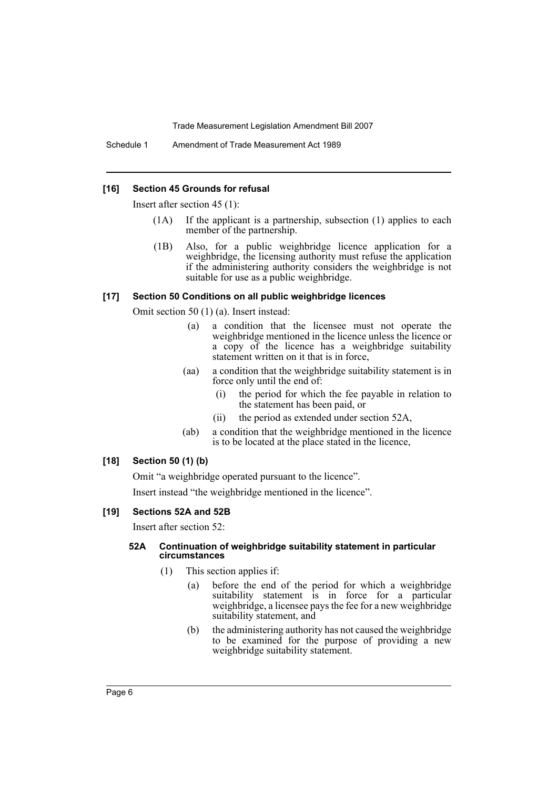Schedule 1 Amendment of Trade Measurement Act 1989

#### **[16] Section 45 Grounds for refusal**

Insert after section 45 (1):

- (1A) If the applicant is a partnership, subsection (1) applies to each member of the partnership.
- (1B) Also, for a public weighbridge licence application for a weighbridge, the licensing authority must refuse the application if the administering authority considers the weighbridge is not suitable for use as a public weighbridge.

#### **[17] Section 50 Conditions on all public weighbridge licences**

Omit section 50 (1) (a). Insert instead:

- (a) a condition that the licensee must not operate the weighbridge mentioned in the licence unless the licence or a copy of the licence has a weighbridge suitability statement written on it that is in force,
- (aa) a condition that the weighbridge suitability statement is in force only until the end of:
	- (i) the period for which the fee payable in relation to the statement has been paid, or
	- (ii) the period as extended under section 52A,
- (ab) a condition that the weighbridge mentioned in the licence is to be located at the place stated in the licence,

# **[18] Section 50 (1) (b)**

Omit "a weighbridge operated pursuant to the licence".

Insert instead "the weighbridge mentioned in the licence".

#### **[19] Sections 52A and 52B**

Insert after section 52:

#### **52A Continuation of weighbridge suitability statement in particular circumstances**

- (1) This section applies if:
	- (a) before the end of the period for which a weighbridge suitability statement is in force for a particular weighbridge, a licensee pays the fee for a new weighbridge suitability statement, and
	- (b) the administering authority has not caused the weighbridge to be examined for the purpose of providing a new weighbridge suitability statement.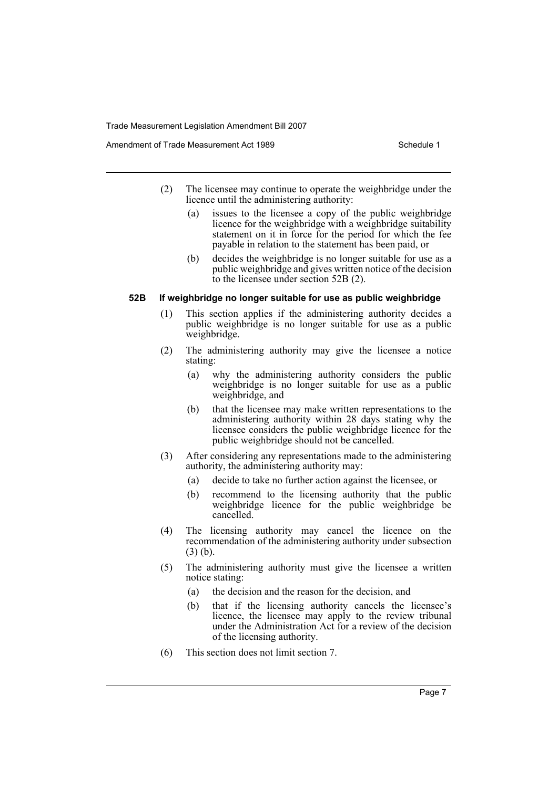Amendment of Trade Measurement Act 1989 **Schedule 1** Schedule 1

- (2) The licensee may continue to operate the weighbridge under the licence until the administering authority:
	- (a) issues to the licensee a copy of the public weighbridge licence for the weighbridge with a weighbridge suitability statement on it in force for the period for which the fee payable in relation to the statement has been paid, or
	- (b) decides the weighbridge is no longer suitable for use as a public weighbridge and gives written notice of the decision to the licensee under section 52B (2).

#### **52B If weighbridge no longer suitable for use as public weighbridge**

- (1) This section applies if the administering authority decides a public weighbridge is no longer suitable for use as a public weighbridge.
- (2) The administering authority may give the licensee a notice stating:
	- (a) why the administering authority considers the public weighbridge is no longer suitable for use as a public weighbridge, and
	- (b) that the licensee may make written representations to the administering authority within 28 days stating why the licensee considers the public weighbridge licence for the public weighbridge should not be cancelled.
- (3) After considering any representations made to the administering authority, the administering authority may:
	- (a) decide to take no further action against the licensee, or
	- (b) recommend to the licensing authority that the public weighbridge licence for the public weighbridge be cancelled.
- (4) The licensing authority may cancel the licence on the recommendation of the administering authority under subsection (3) (b).
- (5) The administering authority must give the licensee a written notice stating:
	- (a) the decision and the reason for the decision, and
	- (b) that if the licensing authority cancels the licensee's licence, the licensee may apply to the review tribunal under the Administration Act for a review of the decision of the licensing authority.
- (6) This section does not limit section 7.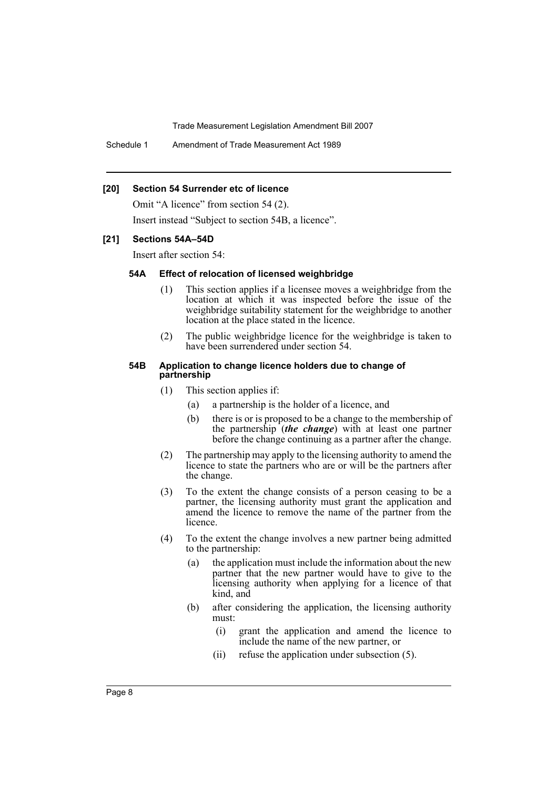Schedule 1 Amendment of Trade Measurement Act 1989

#### **[20] Section 54 Surrender etc of licence**

Omit "A licence" from section 54 (2).

Insert instead "Subject to section 54B, a licence".

# **[21] Sections 54A–54D**

Insert after section 54:

# **54A Effect of relocation of licensed weighbridge**

- (1) This section applies if a licensee moves a weighbridge from the location at which it was inspected before the issue of the weighbridge suitability statement for the weighbridge to another location at the place stated in the licence.
- (2) The public weighbridge licence for the weighbridge is taken to have been surrendered under section 54.

#### **54B Application to change licence holders due to change of partnership**

- (1) This section applies if:
	- (a) a partnership is the holder of a licence, and
	- (b) there is or is proposed to be a change to the membership of the partnership (*the change*) with at least one partner before the change continuing as a partner after the change.
- (2) The partnership may apply to the licensing authority to amend the licence to state the partners who are or will be the partners after the change.
- (3) To the extent the change consists of a person ceasing to be a partner, the licensing authority must grant the application and amend the licence to remove the name of the partner from the licence.
- (4) To the extent the change involves a new partner being admitted to the partnership:
	- (a) the application must include the information about the new partner that the new partner would have to give to the licensing authority when applying for a licence of that kind, and
	- (b) after considering the application, the licensing authority must:
		- (i) grant the application and amend the licence to include the name of the new partner, or
		- (ii) refuse the application under subsection (5).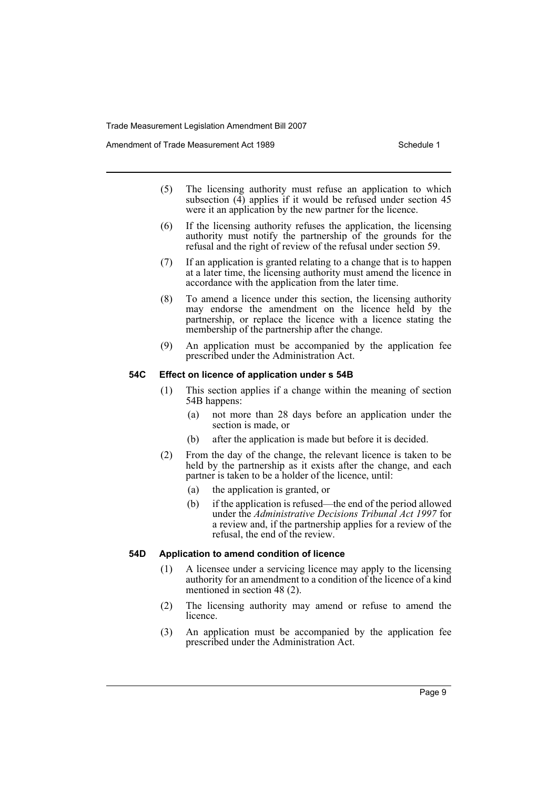Amendment of Trade Measurement Act 1989 **Schedule 1** Schedule 1

- (5) The licensing authority must refuse an application to which subsection  $\overline{(4)}$  applies if it would be refused under section 45 were it an application by the new partner for the licence.
- (6) If the licensing authority refuses the application, the licensing authority must notify the partnership of the grounds for the refusal and the right of review of the refusal under section 59.
- (7) If an application is granted relating to a change that is to happen at a later time, the licensing authority must amend the licence in accordance with the application from the later time.
- (8) To amend a licence under this section, the licensing authority may endorse the amendment on the licence held by the partnership, or replace the licence with a licence stating the membership of the partnership after the change.
- (9) An application must be accompanied by the application fee prescribed under the Administration Act.

# **54C Effect on licence of application under s 54B**

- (1) This section applies if a change within the meaning of section 54B happens:
	- (a) not more than 28 days before an application under the section is made, or
	- (b) after the application is made but before it is decided.
- (2) From the day of the change, the relevant licence is taken to be held by the partnership as it exists after the change, and each partner is taken to be a holder of the licence, until:
	- (a) the application is granted, or
	- (b) if the application is refused—the end of the period allowed under the *Administrative Decisions Tribunal Act 1997* for a review and, if the partnership applies for a review of the refusal, the end of the review.

#### **54D Application to amend condition of licence**

- (1) A licensee under a servicing licence may apply to the licensing authority for an amendment to a condition of the licence of a kind mentioned in section 48 (2).
- (2) The licensing authority may amend or refuse to amend the licence.
- (3) An application must be accompanied by the application fee prescribed under the Administration Act.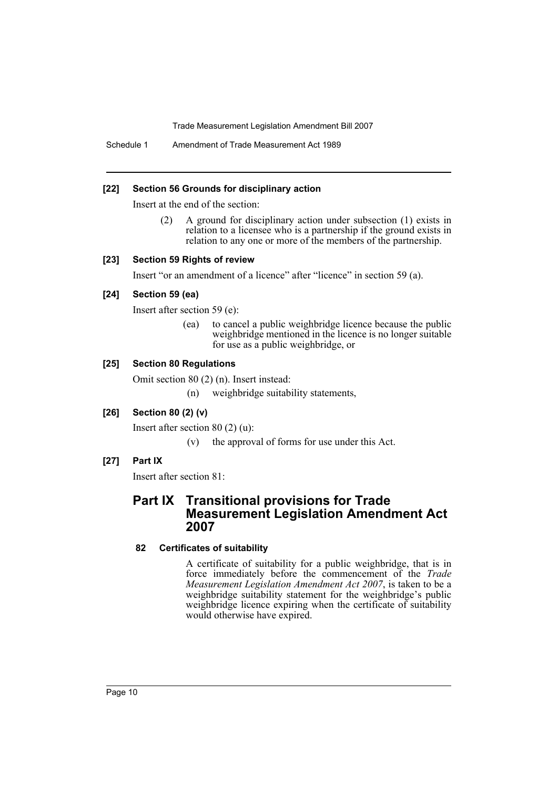Schedule 1 Amendment of Trade Measurement Act 1989

# **[22] Section 56 Grounds for disciplinary action**

Insert at the end of the section:

(2) A ground for disciplinary action under subsection (1) exists in relation to a licensee who is a partnership if the ground exists in relation to any one or more of the members of the partnership.

# **[23] Section 59 Rights of review**

Insert "or an amendment of a licence" after "licence" in section 59 (a).

# **[24] Section 59 (ea)**

Insert after section 59 (e):

(ea) to cancel a public weighbridge licence because the public weighbridge mentioned in the licence is no longer suitable for use as a public weighbridge, or

# **[25] Section 80 Regulations**

Omit section 80 (2) (n). Insert instead:

(n) weighbridge suitability statements,

# **[26] Section 80 (2) (v)**

Insert after section 80 (2) (u):

(v) the approval of forms for use under this Act.

# **[27] Part IX**

Insert after section 81:

# **Part IX Transitional provisions for Trade Measurement Legislation Amendment Act 2007**

# **82 Certificates of suitability**

A certificate of suitability for a public weighbridge, that is in force immediately before the commencement of the *Trade Measurement Legislation Amendment Act 2007*, is taken to be a weighbridge suitability statement for the weighbridge's public weighbridge licence expiring when the certificate of suitability would otherwise have expired.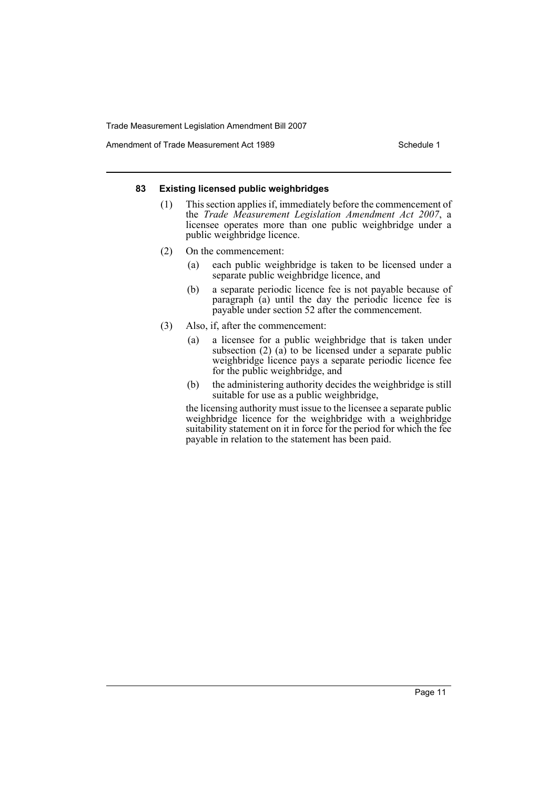Amendment of Trade Measurement Act 1989 Schedule 1

#### **83 Existing licensed public weighbridges**

- (1) This section applies if, immediately before the commencement of the *Trade Measurement Legislation Amendment Act 2007*, a licensee operates more than one public weighbridge under a public weighbridge licence.
- (2) On the commencement:
	- (a) each public weighbridge is taken to be licensed under a separate public weighbridge licence, and
	- (b) a separate periodic licence fee is not payable because of paragraph (a) until the day the periodic licence fee is payable under section 52 after the commencement.
- (3) Also, if, after the commencement:
	- (a) a licensee for a public weighbridge that is taken under subsection  $(2)$   $(a)$  to be licensed under a separate public weighbridge licence pays a separate periodic licence fee for the public weighbridge, and
	- (b) the administering authority decides the weighbridge is still suitable for use as a public weighbridge,

the licensing authority must issue to the licensee a separate public weighbridge licence for the weighbridge with a weighbridge suitability statement on it in force for the period for which the fee payable in relation to the statement has been paid.